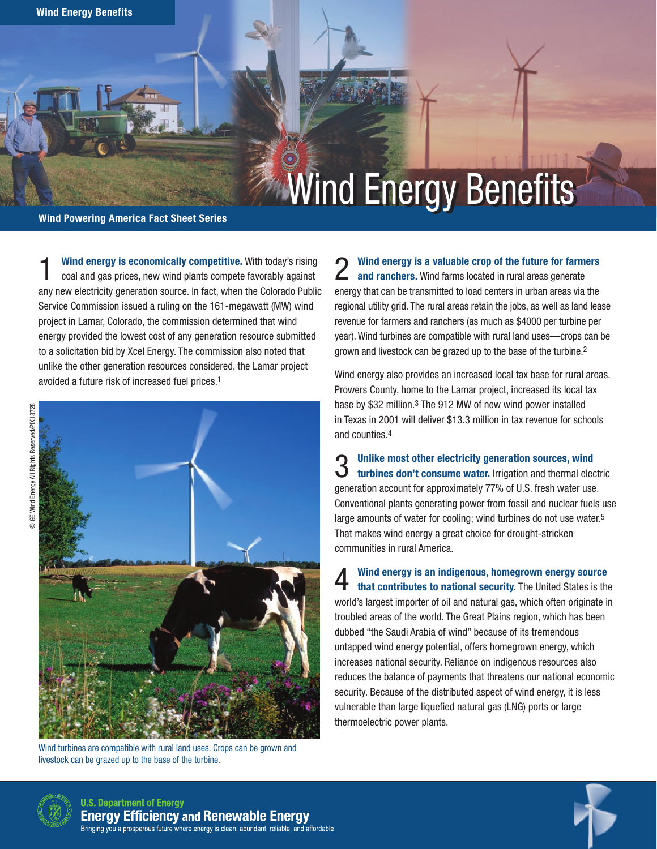# **Wind Energy Benefits**

## Wind Powering America Fact Sheet Series

1 Wind energy is economically competitive. With today's rising coal and gas prices, new wind plants compete favorably against any new electricity generation source. In fact, when the Colorado Public Service Commission issued a ruling on the 161-megawatt (MW) wind project in Lamar, Colorado, the commission determined that wind energy provided the lowest cost of any generation resource submitted to a solicitation bid by Xcel Energy. The commission also noted that unlike the other generation resources considered, the Lamar project avoided a future risk of increased fuel prices.1



Wind turbines are compatible with rural land uses. Crops can be grown and livestock can be grazed up to the base of the turbine.

2 Wind energy is a valuable crop of the future for farmers<br>2 and ranchers. Wind farms located in rural areas generate and ranchers. Wind farms located in rural areas generate energy that can be transmitted to load centers in urban areas via the regional utility grid. The rural areas retain the jobs, as well as land lease revenue for farmers and ranchers (as much as \$4000 per turbine per year). Wind turbines are compatible with rural land uses—crops can be grown and livestock can be grazed up to the base of the turbine.2

Wind energy also provides an increased local tax base for rural areas. Prowers County, home to the Lamar project, increased its local tax base by \$32 million.3 The 912 MW of new wind power installed in Texas in 2001 will deliver \$13.3 million in tax revenue for schools and counties.4

3 Unlike most other electricity generation sources, wind turbines don't consume water. Irrigation and thermal electric generation account for approximately 77% of U.S. fresh water use. Conventional plants generating power from fossil and nuclear fuels use large amounts of water for cooling; wind turbines do not use water.<sup>5</sup> That makes wind energy a great choice for drought-stricken communities in rural America.

4 Wind energy is an indigenous, homegrown energy source that contributes to national security. The United States is the world's largest importer of oil and natural gas, which often originate in troubled areas of the world. The Great Plains region, which has been dubbed "the Saudi Arabia of wind" because of its tremendous untapped wind energy potential, offers homegrown energy, which increases national security. Reliance on indigenous resources also reduces the balance of payments that threatens our national economic security. Because of the distributed aspect of wind energy, it is less vulnerable than large liquefied natural gas (LNG) ports or large thermoelectric power plants.